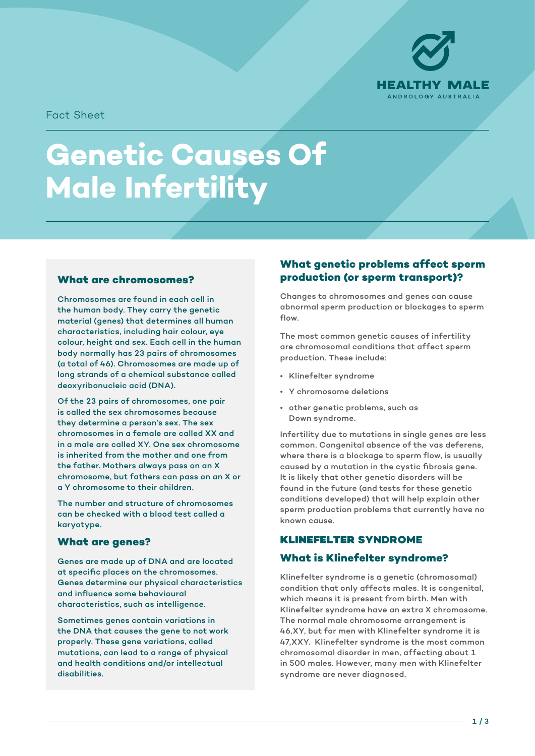

Fact Sheet

# **Genetic Causes Of Male Infertility**

#### **What are chromosomes?**

Chromosomes are found in each cell in the human body. They carry the genetic material (genes) that determines all human characteristics, including hair colour, eye colour, height and sex. Each cell in the human body normally has 23 pairs of chromosomes (a total of 46). Chromosomes are made up of long strands of a chemical substance called deoxyribonucleic acid (DNA).

Of the 23 pairs of chromosomes, one pair is called the sex chromosomes because they determine a person's sex. The sex chromosomes in a female are called XX and in a male are called XY. One sex chromosome is inherited from the mother and one from the father. Mothers always pass on an X chromosome, but fathers can pass on an X or a Y chromosome to their children.

The number and structure of chromosomes can be checked with a blood test called a karyotype.

#### **What are genes?**

Genes are made up of DNA and are located at specific places on the chromosomes. Genes determine our physical characteristics and influence some behavioural characteristics, such as intelligence.

Sometimes genes contain variations in the DNA that causes the gene to not work properly. These gene variations, called mutations, can lead to a range of physical and health conditions and/or intellectual disabilities.

#### **What genetic problems affect sperm production (or sperm transport)?**

Changes to chromosomes and genes can cause abnormal sperm production or blockages to sperm flow.

The most common genetic causes of infertility are chromosomal conditions that affect sperm production. These include:

- Klinefelter syndrome
- Y chromosome deletions
- other genetic problems, such as Down syndrome.

Infertility due to mutations in single genes are less common. Congenital absence of the vas deferens, where there is a blockage to sperm flow, is usually caused by a mutation in the cystic fibrosis gene. It is likely that other genetic disorders will be found in the future (and tests for these genetic conditions developed) that will help explain other sperm production problems that currently have no known cause.

# KLINEFELTER **SYNDROME**

#### **What is Klinefelter syndrome?**

Klinefelter syndrome is a genetic (chromosomal) condition that only affects males. It is congenital, which means it is present from birth. Men with Klinefelter syndrome have an extra X chromosome. The normal male chromosome arrangement is 46,XY, but for men with Klinefelter syndrome it is 47,XXY. Klinefelter syndrome is the most common chromosomal disorder in men, affecting about 1 in 500 males. However, many men with Klinefelter syndrome are never diagnosed.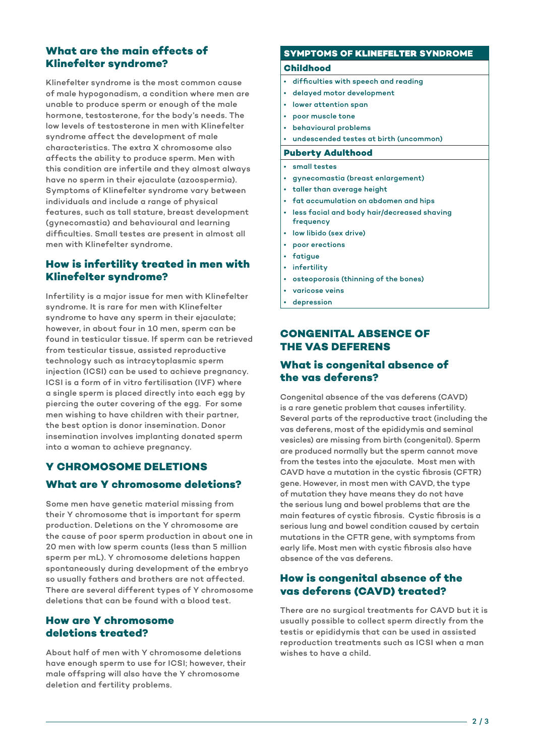#### **What are the main effects of Klinefelter syndrome?**

Klinefelter syndrome is the most common cause of male hypogonadism, a condition where men are unable to produce sperm or enough of the male hormone, testosterone, for the body's needs. The low levels of testosterone in men with Klinefelter syndrome affect the development of male characteristics. The extra X chromosome also affects the ability to produce sperm. Men with this condition are infertile and they almost always have no sperm in their ejaculate (azoospermia). Symptoms of Klinefelter syndrome vary between individuals and include a range of physical features, such as tall stature, breast development (gynecomastia) and behavioural and learning difficulties. Small testes are present in almost all men with Klinefelter syndrome.

## **How is infertility treated in men with Klinefelter syndrome?**

Infertility is a major issue for men with Klinefelter syndrome. It is rare for men with Klinefelter syndrome to have any sperm in their ejaculate; however, in about four in 10 men, sperm can be found in testicular tissue. If sperm can be retrieved from testicular tissue, assisted reproductive technology such as intracytoplasmic sperm injection (ICSI) can be used to achieve pregnancy. ICSI is a form of in vitro fertilisation (IVF) where a single sperm is placed directly into each egg by piercing the outer covering of the egg. For some men wishing to have children with their partner, the best option is donor insemination. Donor insemination involves implanting donated sperm into a woman to achieve pregnancy.

# **Y CHROMOSOME DELETIONS What are Y chromosome deletions?**

Some men have genetic material missing from their Y chromosome that is important for sperm production. Deletions on the Y chromosome are the cause of poor sperm production in about one in 20 men with low sperm counts (less than 5 million sperm per mL). Y chromosome deletions happen spontaneously during development of the embryo so usually fathers and brothers are not affected. There are several different types of Y chromosome deletions that can be found with a blood test.

### **How are Y chromosome deletions treated?**

About half of men with Y chromosome deletions have enough sperm to use for ICSI; however, their male offspring will also have the Y chromosome deletion and fertility problems.

#### **SYMPTOMS OF** KLINEFELTER **SYNDROME**

#### **Childhood**

- difficulties with speech and reading
- delayed motor development
- lower attention span
- poor muscle tone
- behavioural problems
- undescended testes at birth (uncommon)
- **Puberty Adulthood**
- small testes
- gynecomastia (breast enlargement)
- taller than average height
- fat accumulation on abdomen and hips
- less facial and body hair/decreased shaving frequency
- low libido (sex drive)
- poor erections
- **fatigue**
- **infertility**
- osteoporosis (thinning of the bones)
- varicose veins
- depression

#### **CONGENITAL ABSENCE OF THE VAS DEFERENS**

## **What is congenital absence of the vas deferens?**

Congenital absence of the vas deferens (CAVD) is a rare genetic problem that causes infertility. Several parts of the reproductive tract (including the vas deferens, most of the epididymis and seminal vesicles) are missing from birth (congenital). Sperm are produced normally but the sperm cannot move from the testes into the ejaculate. Most men with CAVD have a mutation in the cystic fibrosis (CFTR) gene. However, in most men with CAVD, the type of mutation they have means they do not have the serious lung and bowel problems that are the main features of cystic fibrosis. Cystic fibrosis is a serious lung and bowel condition caused by certain mutations in the CFTR gene, with symptoms from early life. Most men with cystic fibrosis also have absence of the vas deferens.

# **How is congenital absence of the vas deferens (CAVD) treated?**

There are no surgical treatments for CAVD but it is usually possible to collect sperm directly from the testis or epididymis that can be used in assisted reproduction treatments such as ICSI when a man wishes to have a child.